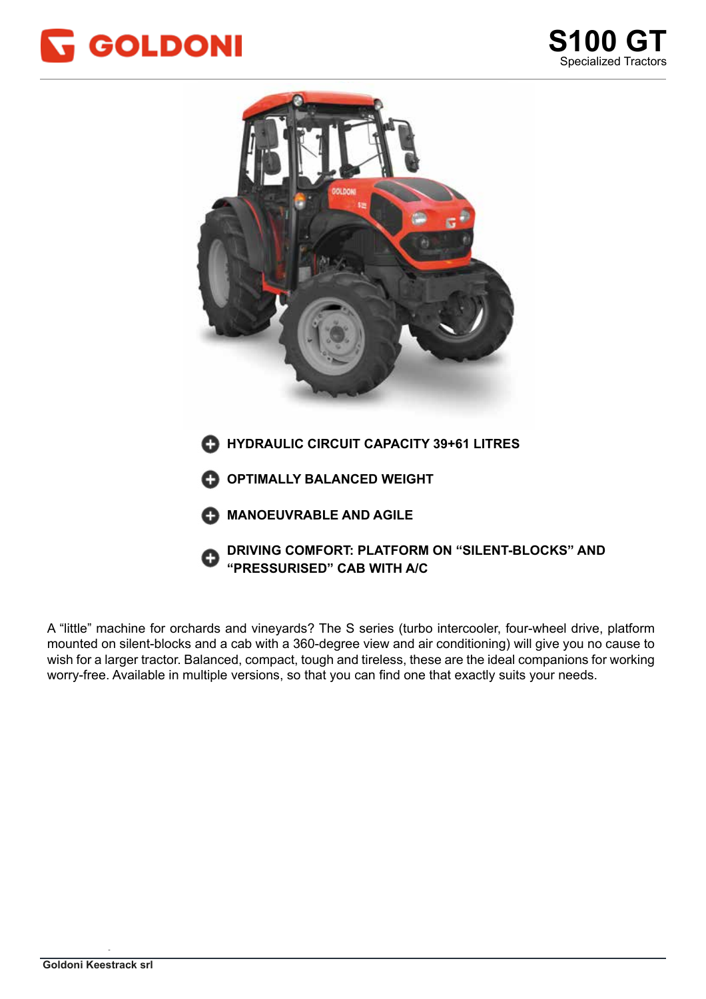



mounted on silent-blocks and a cab with a 360-degree view and air conditioning) will give you no cause to wish for a larger tractor. Balanced, compact, tough and tireless, these are the ideal companions for working worry-free. Available in multiple versions, so that you can find one that exactly suits your needs. A "little" machine for orchards and vineyards? The S series (turbo intercooler, four-wheel drive, platform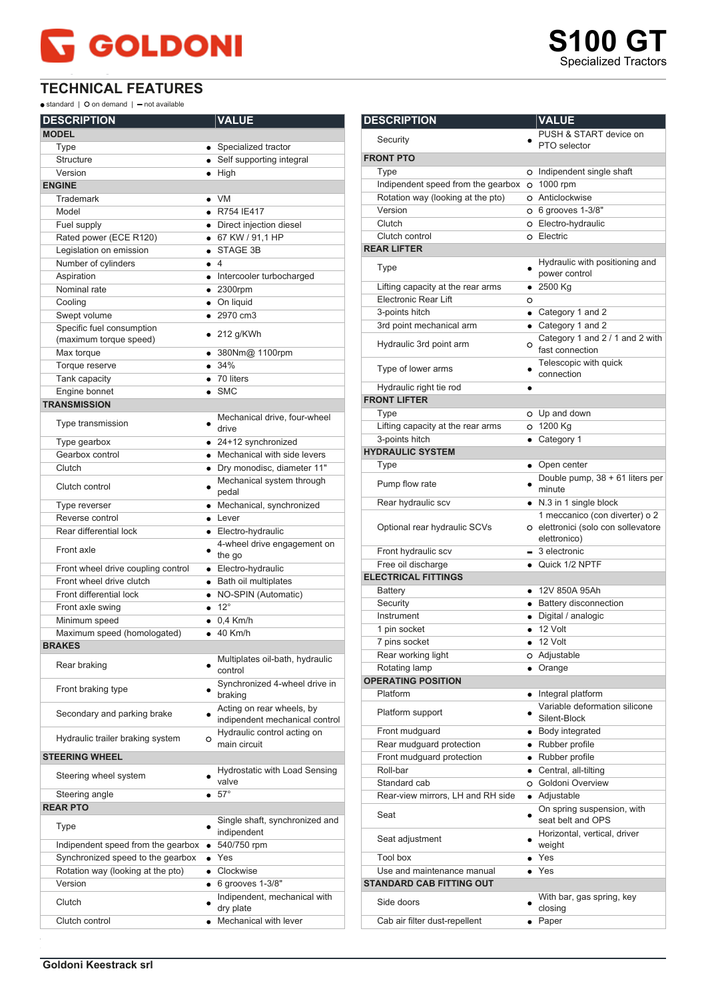## **GOLDONI**

## **TECHNICAL FEATURES**

 $\bullet$  standard |  $\bullet$  on demand |  $\bullet$  not available

| <b>DESCRIPTION</b>                                  |           | <b>VALUE</b>                                                |
|-----------------------------------------------------|-----------|-------------------------------------------------------------|
| <b>MODEL</b>                                        |           |                                                             |
| Type                                                |           | • Specialized tractor                                       |
| <b>Structure</b>                                    |           | • Self supporting integral                                  |
| Version                                             |           | $\bullet$ High                                              |
| <b>ENGINE</b>                                       |           |                                                             |
| Trademark                                           |           | $\bullet$ VM                                                |
| Model                                               |           | • R754 IE417                                                |
| Fuel supply                                         |           | • Direct injection diesel                                   |
| Rated power (ECE R120)                              |           | • 67 KW / 91.1 HP                                           |
| Legislation on emission                             |           | STAGE 3B                                                    |
| Number of cylinders                                 |           | $\bullet$ 4                                                 |
| Aspiration                                          |           | • Intercooler turbocharged                                  |
| Nominal rate                                        |           | $\bullet$ 2300rpm                                           |
| Cooling                                             |           | • On liquid                                                 |
| Swept volume                                        |           | $\bullet$ 2970 cm3                                          |
| Specific fuel consumption<br>(maximum torque speed) |           | $\bullet$ 212 g/KWh                                         |
| Max torque                                          |           | ● 380Nm@ 1100rpm                                            |
| Torque reserve                                      |           | • 34%                                                       |
| Tank capacity                                       |           | $\bullet$ 70 liters                                         |
| Engine bonnet                                       |           | $\bullet$ SMC                                               |
| <b>TRANSMISSION</b>                                 |           |                                                             |
| Type transmission                                   |           | Mechanical drive, four-wheel<br>drive                       |
| Type gearbox                                        |           | $\bullet$ 24+12 synchronized                                |
| Gearbox control                                     |           | • Mechanical with side levers                               |
| Clutch                                              |           | · Dry monodisc, diameter 11"                                |
| Clutch control                                      |           | Mechanical system through<br>pedal                          |
| Type reverser                                       |           | • Mechanical, synchronized                                  |
| Reverse control                                     |           | $\bullet$ Lever                                             |
| Rear differential lock                              |           | • Electro-hydraulic                                         |
| Front axle                                          |           | 4-wheel drive engagement on<br>the go                       |
| Front wheel drive coupling control                  |           | • Electro-hydraulic                                         |
| Front wheel drive clutch                            |           | · Bath oil multiplates                                      |
| Front differential lock                             |           | • NO-SPIN (Automatic)                                       |
| Front axle swing                                    |           | $\bullet$ 12°                                               |
| Minimum speed                                       |           | $\bullet$ 0.4 Km/h                                          |
| Maximum speed (homologated)                         |           | $\bullet$ 40 Km/h                                           |
| <b>BRAKES</b>                                       |           |                                                             |
| Rear braking                                        |           | Multiplates oil-bath, hydraulic<br>control                  |
| Front braking type                                  |           | Synchronized 4-wheel drive in<br>braking                    |
| Secondary and parking brake                         |           | Acting on rear wheels, by<br>indipendent mechanical control |
| Hydraulic trailer braking system                    | O         | Hydraulic control acting on<br>main circuit                 |
| <b>STEERING WHEEL</b>                               |           |                                                             |
| Steering wheel system                               |           | Hydrostatic with Load Sensing<br>valve                      |
| Steering angle                                      |           | $\bullet$ 57°                                               |
| <b>REAR PTO</b>                                     |           |                                                             |
| Type                                                |           | Single shaft, synchronized and<br>indipendent               |
| Indipendent speed from the gearbox                  | $\bullet$ | 540/750 rpm                                                 |
| Synchronized speed to the gearbox                   |           | $\bullet$ Yes                                               |
| Rotation way (looking at the pto)                   |           | • Clockwise                                                 |
| Version                                             |           | $\bullet$ 6 grooves 1-3/8"                                  |
| Clutch                                              |           | Indipendent, mechanical with<br>dry plate                   |
| Clutch control                                      | $\bullet$ | Mechanical with lever                                       |
|                                                     |           |                                                             |

| <b>DESCRIPTION</b>                   |   | <b>VALUE</b>                                                                          |
|--------------------------------------|---|---------------------------------------------------------------------------------------|
|                                      |   | PUSH & START device on                                                                |
| Security                             |   | PTO selector                                                                          |
| <b>FRONT PTO</b>                     |   |                                                                                       |
| Type                                 |   | O Indipendent single shaft                                                            |
| Indipendent speed from the gearbox   |   | O 1000 rpm                                                                            |
| Rotation way (looking at the pto)    |   | O Anticlockwise                                                                       |
| Version                              |   | O 6 grooves 1-3/8"                                                                    |
| Clutch                               |   | O Electro-hydraulic                                                                   |
| Clutch control<br><b>REAR LIFTER</b> |   | o Electric                                                                            |
|                                      |   |                                                                                       |
| Type                                 |   | Hydraulic with positioning and<br>power control                                       |
| Lifting capacity at the rear arms    |   | $• 2500$ Kg                                                                           |
| <b>Electronic Rear Lift</b>          | O |                                                                                       |
| 3-points hitch                       |   | • Category 1 and 2                                                                    |
| 3rd point mechanical arm             |   | • Category 1 and 2                                                                    |
| Hydraulic 3rd point arm              |   | Category 1 and 2 / 1 and 2 with<br>$\circ$ fast connection                            |
| Type of lower arms                   |   | Telescopic with quick<br>connection                                                   |
| Hydraulic right tie rod              |   |                                                                                       |
| <b>FRONT LIFTER</b>                  |   |                                                                                       |
| Type                                 |   | O Up and down                                                                         |
| Lifting capacity at the rear arms    |   | O 1200 Kg                                                                             |
| 3-points hitch                       |   | • Category 1                                                                          |
| <b>HYDRAULIC SYSTEM</b>              |   |                                                                                       |
| Type                                 |   | • Open center                                                                         |
| Pump flow rate                       |   | Double pump, 38 + 61 liters per<br>minute                                             |
| Rear hydraulic scv                   |   | • N.3 in 1 single block                                                               |
| Optional rear hydraulic SCVs         |   | 1 meccanico (con diverter) o 2<br>o elettronici (solo con sollevatore<br>elettronico) |
| Front hydraulic scv                  |   | $-3$ electronic                                                                       |
| Free oil discharge                   |   | • Quick 1/2 NPTF                                                                      |
| <b>ELECTRICAL FITTINGS</b>           |   |                                                                                       |
| <b>Battery</b>                       |   | • 12V 850A 95Ah                                                                       |
| Security                             |   | • Battery disconnection                                                               |
| Instrument                           |   | · Digital / analogic                                                                  |
| 1 pin socket                         |   | $\bullet$ 12 Volt                                                                     |
| 7 pins socket                        | ٠ | 12 Volt                                                                               |
| Rear working light                   |   | O Adjustable                                                                          |
| Rotating lamp                        |   | • Orange                                                                              |
| <b>OPERATING POSITION</b>            |   |                                                                                       |
| Platform                             |   | • Integral platform                                                                   |
| Platform support                     |   | Variable deformation silicone<br>Silent-Block                                         |
| Front mudguard                       |   | • Body integrated                                                                     |
| Rear mudguard protection             |   | • Rubber profile                                                                      |
| Front mudguard protection            |   | • Rubber profile                                                                      |
| Roll-bar                             |   | • Central, all-tilting                                                                |
| Standard cab                         |   | O Goldoni Overview                                                                    |
| Rear-view mirrors, LH and RH side    |   | • Adjustable                                                                          |
| Seat                                 | ٠ | On spring suspension, with<br>seat belt and OPS                                       |
| Seat adjustment                      |   | Horizontal, vertical, driver<br>weight                                                |
| <b>Tool box</b>                      |   | $\bullet$ Yes                                                                         |
| Use and maintenance manual           |   | $\bullet$ Yes                                                                         |
| <b>STANDARD CAB FITTING OUT</b>      |   |                                                                                       |
| Side doors                           |   | With bar, gas spring, key<br>closing                                                  |
| Cab air filter dust-repellent        |   | $\bullet$ Paper                                                                       |
|                                      |   |                                                                                       |

**S100 GT S100 GT** Specialized Tractors Specialized Tractors